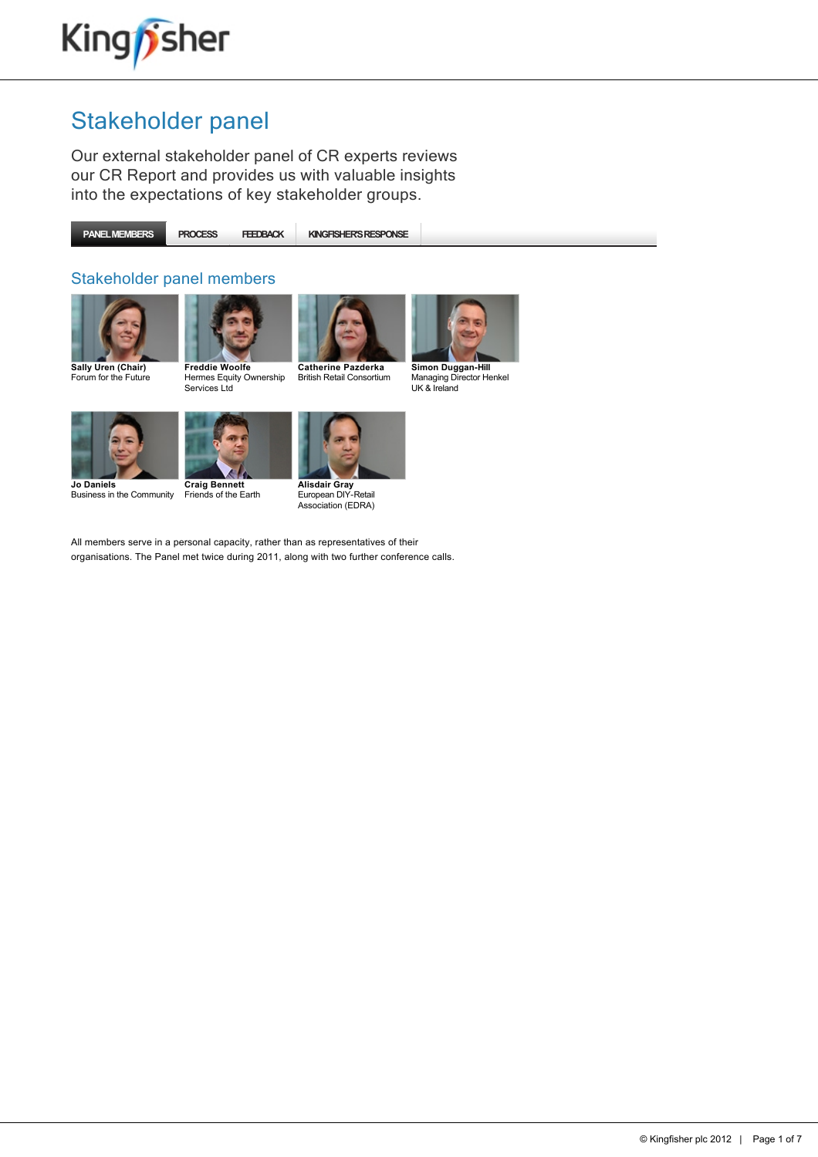

Our external stakeholder panel of CR experts reviews our CR Report and provides us with valuable insights into the expectations of key stakeholder groups.

**PANEL MEMBERS PROCESS FEEDBACK KINGFISHER'S RESPONSE**

#### Stakeholder panel members







Hermes Equity Ownership Services Ltd

British Retail Consortium



Managing Director Henkel UK & Ireland



Business in the Community



**Craig Bennett** Friends of the Earth

**Alisdair Gray**<br>European DIY-Retail Association (EDRA)

All members serve in a personal capacity, rather than as representatives of their organisations. The Panel met twice during 2011, along with two further conference calls.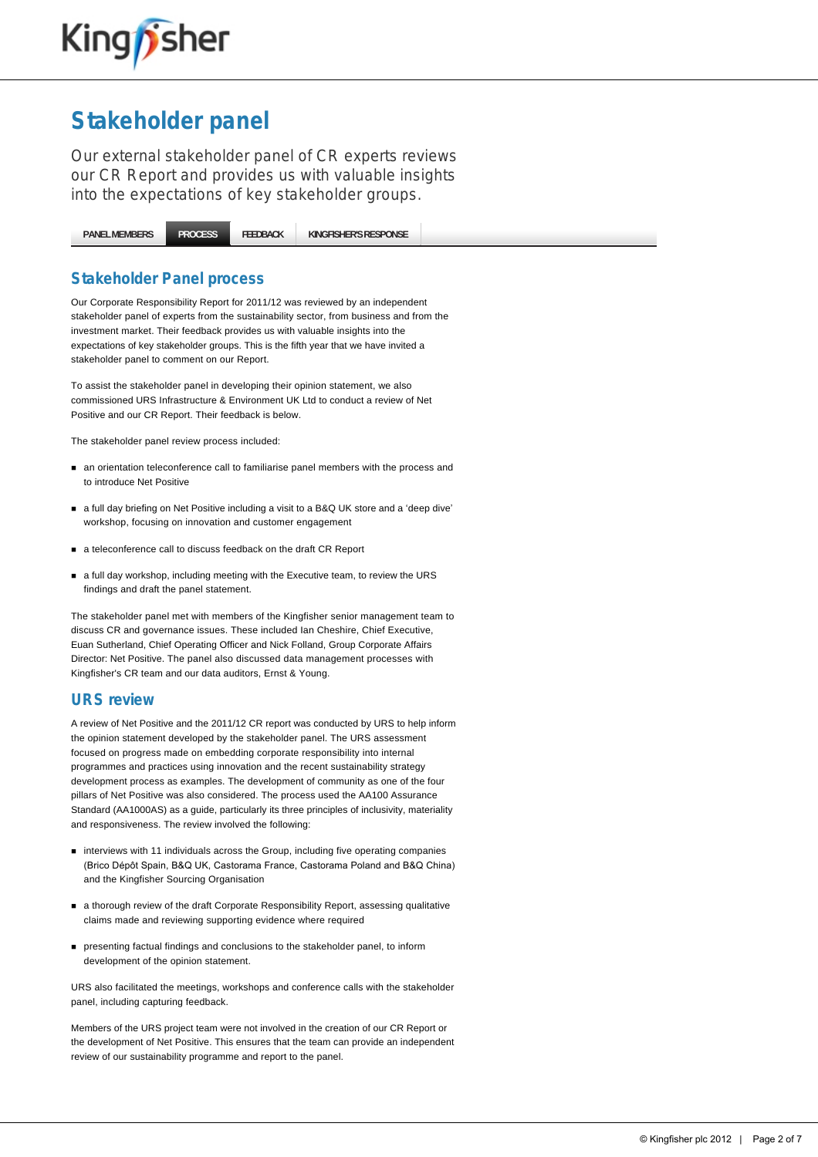

Our external stakeholder panel of CR experts reviews our CR Report and provides us with valuable insights into the expectations of key stakeholder groups.

**[PANEL MEMBERS](http://www.kingfisher.com/netpositive/index.asp?pageid=27) [PROCESS](http://www.kingfisher.com/netpositive/index.asp?pageid=28) [FEEDBACK](http://www.kingfisher.com/netpositive/index.asp?pageid=29) [KINGFISHER'S RESPONSE](http://www.kingfisher.com/netpositive/index.asp?pageid=30)**

#### **Stakeholder Panel process**

Our Corporate Responsibility Report for 2011/12 was reviewed by an independent stakeholder panel of experts from the sustainability sector, from business and from the investment market. Their feedback provides us with valuable insights into the expectations of key stakeholder groups. This is the fifth year that we have invited a stakeholder panel to comment on our Report.

To assist the stakeholder panel in developing their opinion statement, we also commissioned URS Infrastructure & Environment UK Ltd to conduct a review of Net Positive and our CR Report. Their feedback is below.

The stakeholder panel review process included:

- $\blacksquare$  an orientation teleconference call to familiarise panel members with the process and to introduce Net Positive
- a full day briefing on Net Positive including a visit to a B&Q UK store and a 'deep dive' workshop, focusing on innovation and customer engagement
- a teleconference call to discuss feedback on the draft CR Report
- n a full day workshop, including meeting with the Executive team, to review the URS findings and draft the panel statement.

The stakeholder panel met with members of the Kingfisher senior management team to discuss CR and governance issues. These included Ian Cheshire, Chief Executive, Euan Sutherland, Chief Operating Officer and Nick Folland, Group Corporate Affairs Director: Net Positive. The panel also discussed data management processes with Kingfisher's CR team and our data auditors, Ernst & Young.

#### **URS review**

A review of Net Positive and the 2011/12 CR report was conducted by URS to help inform the opinion statement developed by the stakeholder panel. The URS assessment focused on progress made on embedding corporate responsibility into internal programmes and practices using innovation and the recent sustainability strategy development process as examples. The development of community as one of the four pillars of Net Positive was also considered. The process used the AA100 Assurance Standard (AA1000AS) as a guide, particularly its three principles of inclusivity, materiality and responsiveness. The review involved the following:

- n interviews with 11 individuals across the Group, including five operating companies (Brico Dépôt Spain, B&Q UK, Castorama France, Castorama Poland and B&Q China) and the Kingfisher Sourcing Organisation
- n a thorough review of the draft Corporate Responsibility Report, assessing qualitative claims made and reviewing supporting evidence where required
- n presenting factual findings and conclusions to the stakeholder panel, to inform development of the opinion statement.

URS also facilitated the meetings, workshops and conference calls with the stakeholder panel, including capturing feedback.

Members of the URS project team were not involved in the creation of our CR Report or the development of Net Positive. This ensures that the team can provide an independent review of our sustainability programme and report to the panel.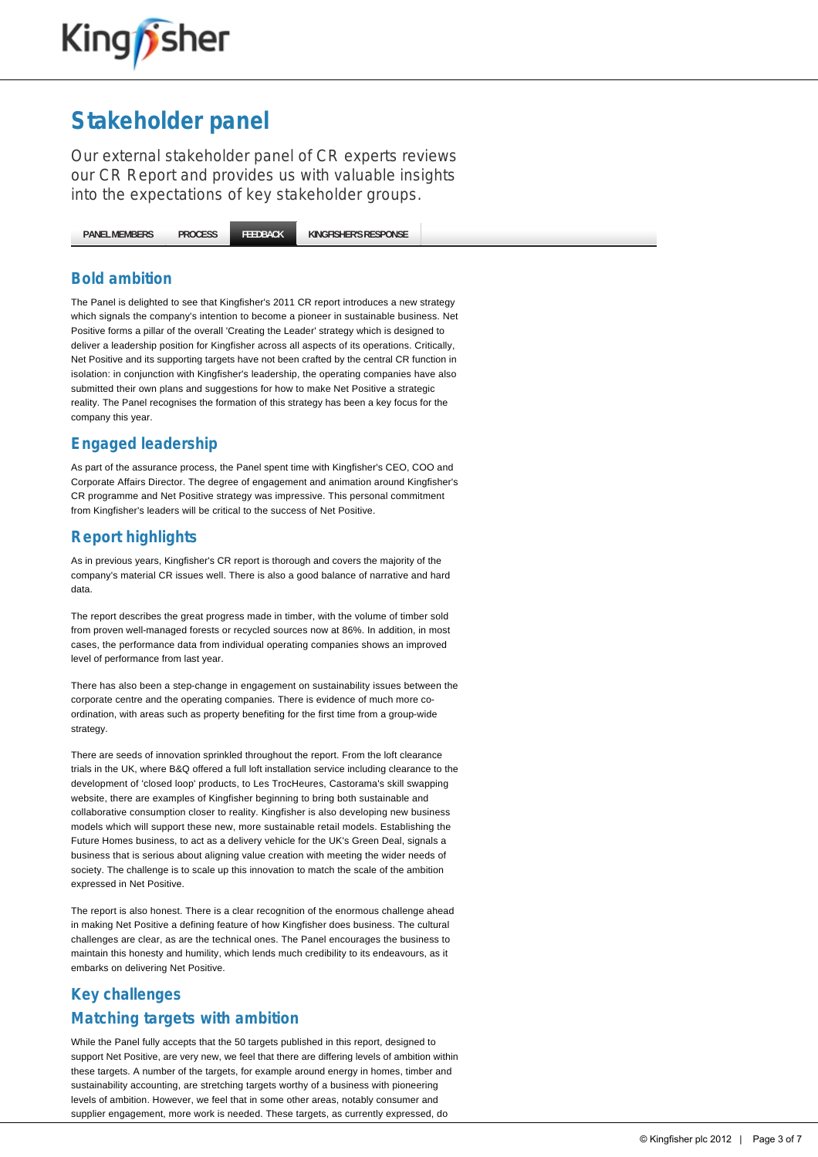

Our external stakeholder panel of CR experts reviews our CR Report and provides us with valuable insights into the expectations of key stakeholder groups.

**[PANEL MEMBERS](http://www.kingfisher.com/netpositive/index.asp?pageid=27) [PROCESS](http://www.kingfisher.com/netpositive/index.asp?pageid=28) [FEEDBACK](http://www.kingfisher.com/netpositive/index.asp?pageid=29) [KINGFISHER'S RESPONSE](http://www.kingfisher.com/netpositive/index.asp?pageid=30)**

#### **Bold ambition**

The Panel is delighted to see that Kingfisher's 2011 CR report introduces a new strategy which signals the company's intention to become a pioneer in sustainable business. Net Positive forms a pillar of the overall 'Creating the Leader' strategy which is designed to deliver a leadership position for Kingfisher across all aspects of its operations. Critically, Net Positive and its supporting targets have not been crafted by the central CR function in isolation: in conjunction with Kingfisher's leadership, the operating companies have also submitted their own plans and suggestions for how to make Net Positive a strategic reality. The Panel recognises the formation of this strategy has been a key focus for the company this year.

## **Engaged leadership**

As part of the assurance process, the Panel spent time with Kingfisher's CEO, COO and Corporate Affairs Director. The degree of engagement and animation around Kingfisher's CR programme and Net Positive strategy was impressive. This personal commitment from Kingfisher's leaders will be critical to the success of Net Positive.

## **Report highlights**

As in previous years, Kingfisher's CR report is thorough and covers the majority of the company's material CR issues well. There is also a good balance of narrative and hard data.

The report describes the great progress made in timber, with the volume of timber sold from proven well-managed forests or recycled sources now at 86%. In addition, in most cases, the performance data from individual operating companies shows an improved level of performance from last year.

There has also been a step-change in engagement on sustainability issues between the corporate centre and the operating companies. There is evidence of much more coordination, with areas such as property benefiting for the first time from a group-wide strategy

There are seeds of innovation sprinkled throughout the report. From the loft clearance trials in the UK, where B&Q offered a full loft installation service including clearance to the development of 'closed loop' products, to Les TrocHeures, Castorama's skill swapping website, there are examples of Kingfisher beginning to bring both sustainable and collaborative consumption closer to reality. Kingfisher is also developing new business models which will support these new, more sustainable retail models. Establishing the Future Homes business, to act as a delivery vehicle for the UK's Green Deal, signals a business that is serious about aligning value creation with meeting the wider needs of society. The challenge is to scale up this innovation to match the scale of the ambition expressed in Net Positive.

The report is also honest. There is a clear recognition of the enormous challenge ahead in making Net Positive a defining feature of how Kingfisher does business. The cultural challenges are clear, as are the technical ones. The Panel encourages the business to maintain this honesty and humility, which lends much credibility to its endeavours, as it embarks on delivering Net Positive.

## **Key challenges Matching targets with ambition**

While the Panel fully accepts that the 50 targets published in this report, designed to support Net Positive, are very new, we feel that there are differing levels of ambition within these targets. A number of the targets, for example around energy in homes, timber and sustainability accounting, are stretching targets worthy of a business with pioneering levels of ambition. However, we feel that in some other areas, notably consumer and supplier engagement, more work is needed. These targets, as currently expressed, do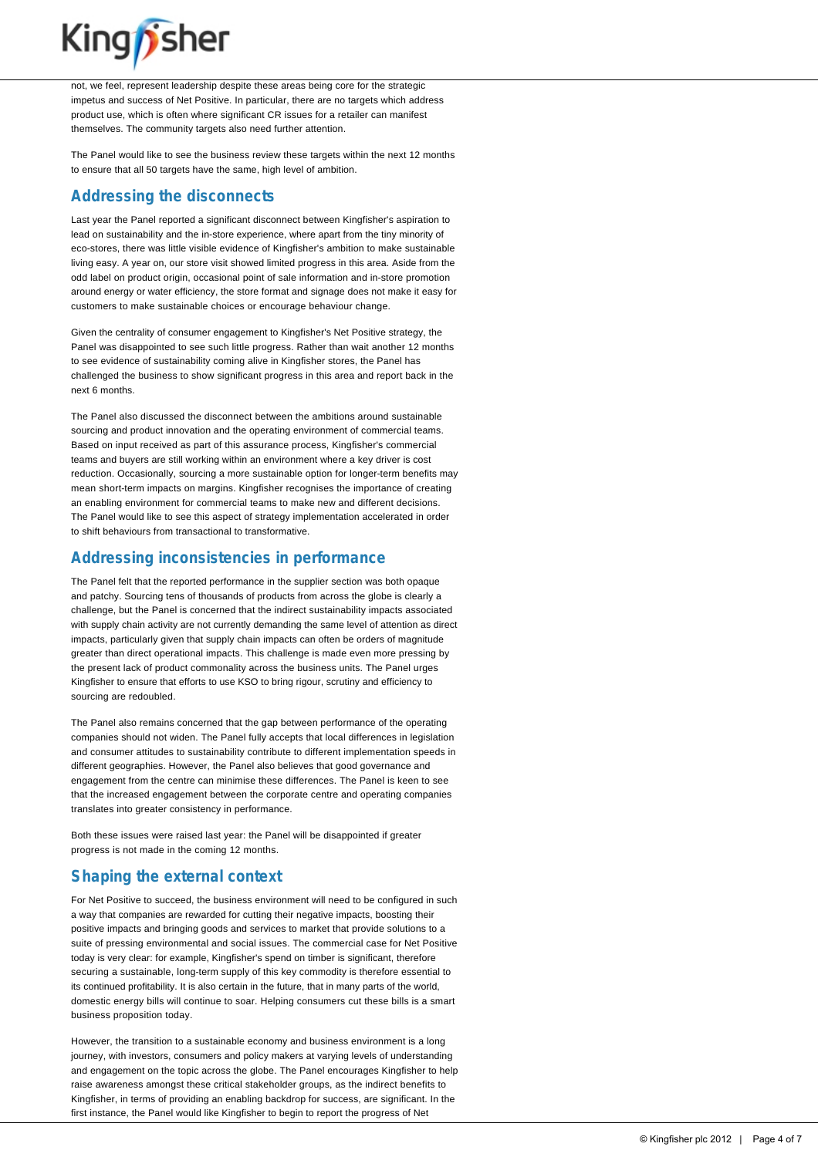

not, we feel, represent leadership despite these areas being core for the strategic impetus and success of Net Positive. In particular, there are no targets which address product use, which is often where significant CR issues for a retailer can manifest themselves. The community targets also need further attention.

The Panel would like to see the business review these targets within the next 12 months to ensure that all 50 targets have the same, high level of ambition.

### **Addressing the disconnects**

Last year the Panel reported a significant disconnect between Kingfisher's aspiration to lead on sustainability and the in-store experience, where apart from the tiny minority of eco-stores, there was little visible evidence of Kingfisher's ambition to make sustainable living easy. A year on, our store visit showed limited progress in this area. Aside from the odd label on product origin, occasional point of sale information and in-store promotion around energy or water efficiency, the store format and signage does not make it easy for customers to make sustainable choices or encourage behaviour change.

Given the centrality of consumer engagement to Kingfisher's Net Positive strategy, the Panel was disappointed to see such little progress. Rather than wait another 12 months to see evidence of sustainability coming alive in Kingfisher stores, the Panel has challenged the business to show significant progress in this area and report back in the next 6 months.

The Panel also discussed the disconnect between the ambitions around sustainable sourcing and product innovation and the operating environment of commercial teams. Based on input received as part of this assurance process, Kingfisher's commercial teams and buyers are still working within an environment where a key driver is cost reduction. Occasionally, sourcing a more sustainable option for longer-term benefits may mean short-term impacts on margins. Kingfisher recognises the importance of creating an enabling environment for commercial teams to make new and different decisions. The Panel would like to see this aspect of strategy implementation accelerated in order to shift behaviours from transactional to transformative.

### **Addressing inconsistencies in performance**

The Panel felt that the reported performance in the supplier section was both opaque and patchy. Sourcing tens of thousands of products from across the globe is clearly a challenge, but the Panel is concerned that the indirect sustainability impacts associated with supply chain activity are not currently demanding the same level of attention as direct impacts, particularly given that supply chain impacts can often be orders of magnitude greater than direct operational impacts. This challenge is made even more pressing by the present lack of product commonality across the business units. The Panel urges Kingfisher to ensure that efforts to use KSO to bring rigour, scrutiny and efficiency to sourcing are redoubled.

The Panel also remains concerned that the gap between performance of the operating companies should not widen. The Panel fully accepts that local differences in legislation and consumer attitudes to sustainability contribute to different implementation speeds in different geographies. However, the Panel also believes that good governance and engagement from the centre can minimise these differences. The Panel is keen to see that the increased engagement between the corporate centre and operating companies translates into greater consistency in performance.

Both these issues were raised last year: the Panel will be disappointed if greater progress is not made in the coming 12 months.

## **Shaping the external context**

For Net Positive to succeed, the business environment will need to be configured in such a way that companies are rewarded for cutting their negative impacts, boosting their positive impacts and bringing goods and services to market that provide solutions to a suite of pressing environmental and social issues. The commercial case for Net Positive today is very clear: for example, Kingfisher's spend on timber is significant, therefore securing a sustainable, long-term supply of this key commodity is therefore essential to its continued profitability. It is also certain in the future, that in many parts of the world, domestic energy bills will continue to soar. Helping consumers cut these bills is a smart business proposition today.

However, the transition to a sustainable economy and business environment is a long journey, with investors, consumers and policy makers at varying levels of understanding and engagement on the topic across the globe. The Panel encourages Kingfisher to help raise awareness amongst these critical stakeholder groups, as the indirect benefits to Kingfisher, in terms of providing an enabling backdrop for success, are significant. In the first instance, the Panel would like Kingfisher to begin to report the progress of Net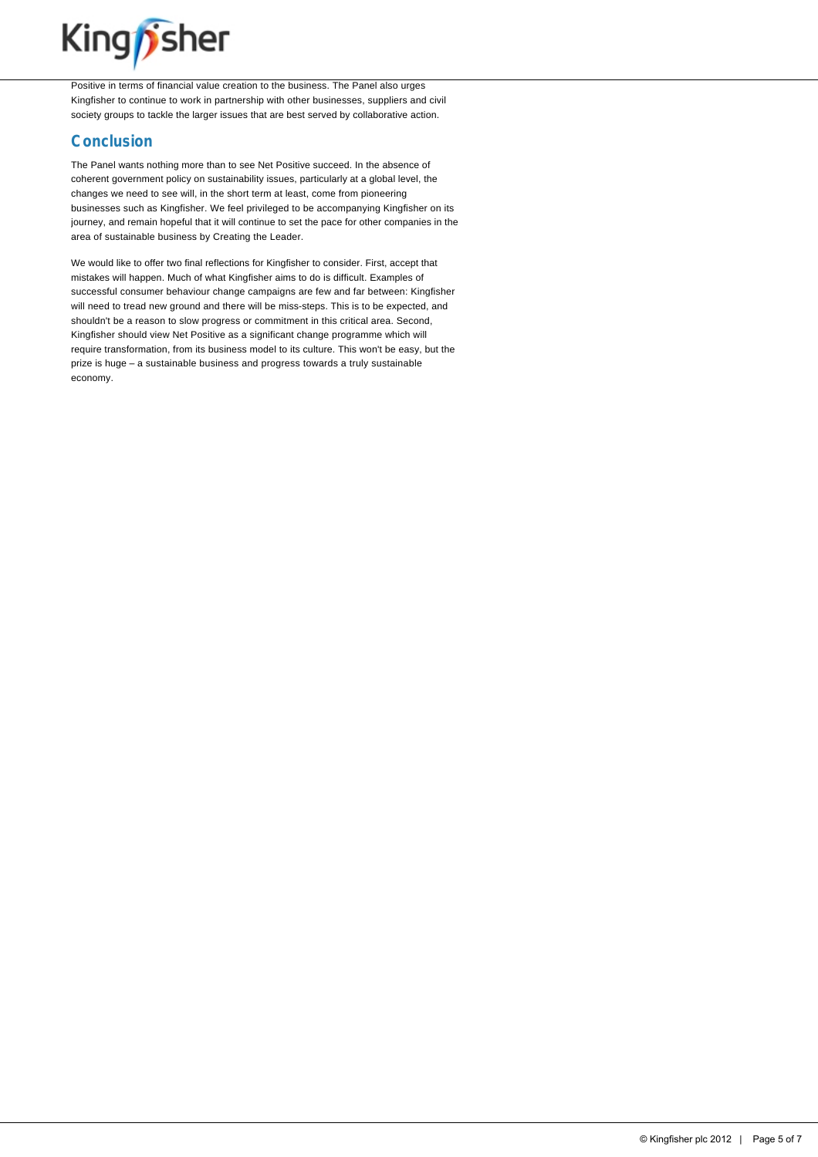

Positive in terms of financial value creation to the business. The Panel also urges Kingfisher to continue to work in partnership with other businesses, suppliers and civil society groups to tackle the larger issues that are best served by collaborative action.

#### **Conclusion**

The Panel wants nothing more than to see Net Positive succeed. In the absence of coherent government policy on sustainability issues, particularly at a global level, the changes we need to see will, in the short term at least, come from pioneering businesses such as Kingfisher. We feel privileged to be accompanying Kingfisher on its journey, and remain hopeful that it will continue to set the pace for other companies in the area of sustainable business by Creating the Leader.

We would like to offer two final reflections for Kingfisher to consider. First, accept that mistakes will happen. Much of what Kingfisher aims to do is difficult. Examples of successful consumer behaviour change campaigns are few and far between: Kingfisher will need to tread new ground and there will be miss-steps. This is to be expected, and shouldn't be a reason to slow progress or commitment in this critical area. Second, Kingfisher should view Net Positive as a significant change programme which will require transformation, from its business model to its culture. This won't be easy, but the prize is huge – a sustainable business and progress towards a truly sustainable economy.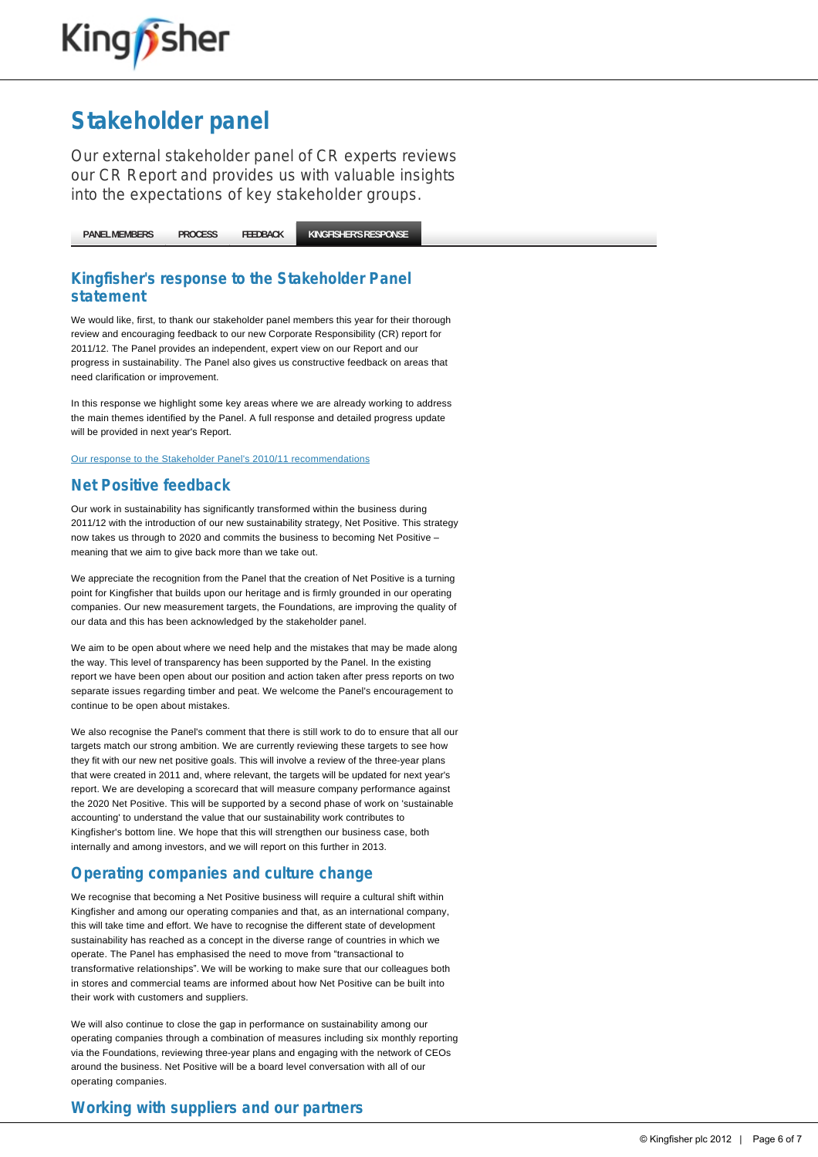

Our external stakeholder panel of CR experts reviews our CR Report and provides us with valuable insights into the expectations of key stakeholder groups.

**[PANEL MEMBERS](http://www.kingfisher.com/netpositive/index.asp?pageid=27) [PROCESS](http://www.kingfisher.com/netpositive/index.asp?pageid=28) [FEEDBACK](http://www.kingfisher.com/netpositive/index.asp?pageid=29) [KINGFISHER'S RESPONSE](http://www.kingfisher.com/netpositive/index.asp?pageid=30)**

#### **Kingfisher's response to the Stakeholder Panel statement**

We would like, first, to thank our stakeholder panel members this year for their thorough review and encouraging feedback to our new Corporate Responsibility (CR) report for 2011/12. The Panel provides an independent, expert view on our Report and our progress in sustainability. The Panel also gives us constructive feedback on areas that need clarification or improvement.

In this response we highlight some key areas where we are already working to address the main themes identified by the Panel. A full response and detailed progress update will be provided in next year's Report.

[Our response to the Stakeholder Panel's 2010/11 recommendations](http://www.kingfisher.com/netpositive/index.asp?pageid=168)

#### **Net Positive feedback**

Our work in sustainability has significantly transformed within the business during 2011/12 with the introduction of our new sustainability strategy, Net Positive. This strategy now takes us through to 2020 and commits the business to becoming Net Positive meaning that we aim to give back more than we take out.

We appreciate the recognition from the Panel that the creation of Net Positive is a turning point for Kingfisher that builds upon our heritage and is firmly grounded in our operating companies. Our new measurement targets, the Foundations, are improving the quality of our data and this has been acknowledged by the stakeholder panel.

We aim to be open about where we need help and the mistakes that may be made along the way. This level of transparency has been supported by the Panel. In the existing report we have been open about our position and action taken after press reports on two separate issues regarding timber and peat. We welcome the Panel's encouragement to continue to be open about mistakes.

We also recognise the Panel's comment that there is still work to do to ensure that all our targets match our strong ambition. We are currently reviewing these targets to see how they fit with our new net positive goals. This will involve a review of the three-year plans that were created in 2011 and, where relevant, the targets will be updated for next year's report. We are developing a scorecard that will measure company performance against the 2020 Net Positive. This will be supported by a second phase of work on 'sustainable accounting' to understand the value that our sustainability work contributes to Kingfisher's bottom line. We hope that this will strengthen our business case, both internally and among investors, and we will report on this further in 2013.

#### **Operating companies and culture change**

We recognise that becoming a Net Positive business will require a cultural shift within Kingfisher and among our operating companies and that, as an international company, this will take time and effort. We have to recognise the different state of development sustainability has reached as a concept in the diverse range of countries in which we operate. The Panel has emphasised the need to move from "transactional to transformative relationships". We will be working to make sure that our colleagues both in stores and commercial teams are informed about how Net Positive can be built into their work with customers and suppliers.

We will also continue to close the gap in performance on sustainability among our operating companies through a combination of measures including six monthly reporting via the Foundations, reviewing three-year plans and engaging with the network of CEOs around the business. Net Positive will be a board level conversation with all of our operating companies.